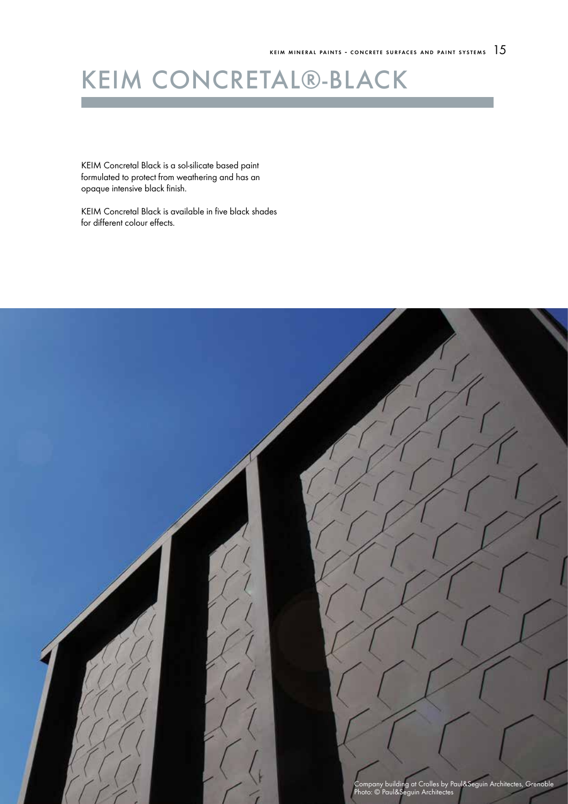# KEIM CONCRETAL®-B

KEIM Concretal Black is a sol-silicate based paint formulated to protect from weathering and has an opaque intensive black finish.

KEIM Concretal Black is available in five black shades for different colour effects.

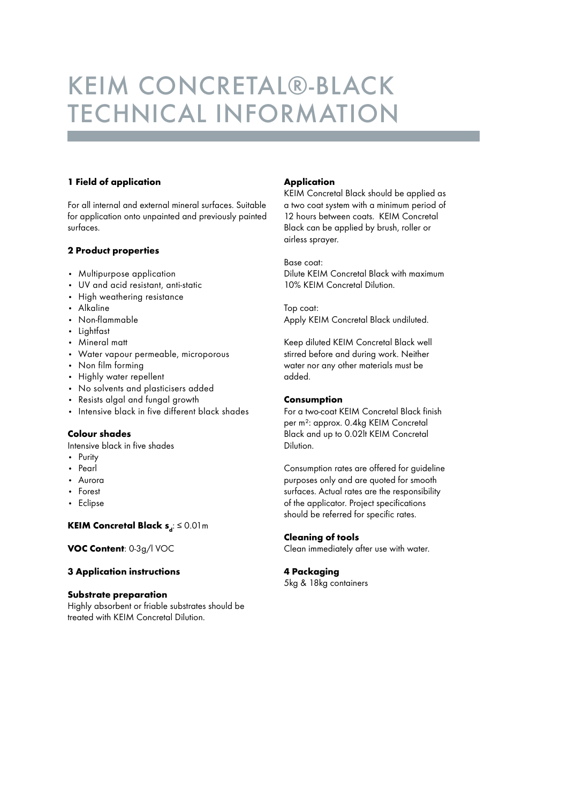# KEIM CONCRETAL®-black TECHNICAL INFORMATION

#### 1 Field of application

For all internal and external mineral surfaces. Suitable for application onto unpainted and previously painted surfaces.

#### 2 Product properties

- • Multipurpose application
- • UV and acid resistant, anti-static
- • High weathering resistance
- • Alkaline
- • Non-flammable
- • Lightfast
- Mineral matt
- • Water vapour permeable, microporous
- Non film forming
- Highly water repellent
- • No solvents and plasticisers added
- • Resists algal and fungal growth
- • Intensive black in five different black shades

#### Colour shades

Intensive black in five shades

- • Purity
- • Pearl
- • Aurora
- • Forest
- • Eclipse

#### KEIM Concretal Black  $s_d: \leq 0.01$  m

VOC Content: 0-3g/l VOC

#### 3 Application instructions

#### Substrate preparation

Highly absorbent or friable substrates should be treated with KEIM Concretal Dilution.

#### **Application**

KEIM Concretal Black should be applied as a two coat system with a minimum period of 12 hours between coats. KEIM Concretal Black can be applied by brush, roller or airless sprayer.

Base coat: Dilute KEIM Concretal Black with maximum 10% KEIM Concretal Dilution.

Top coat: Apply KEIM Concretal Black undiluted.

Keep diluted KEIM Concretal Black well stirred before and during work. Neither water nor any other materials must be added.

#### Consumption

For a two-coat KEIM Concretal Black finish per m²: approx. 0.4kg KEIM Concretal Black and up to 0.02lt KEIM Concretal Dilution.

Consumption rates are offered for guideline purposes only and are quoted for smooth surfaces. Actual rates are the responsibility of the applicator. Project specifications should be referred for specific rates.

#### Cleaning of tools

Clean immediately after use with water.

#### 4 Packaging

5kg & 18kg containers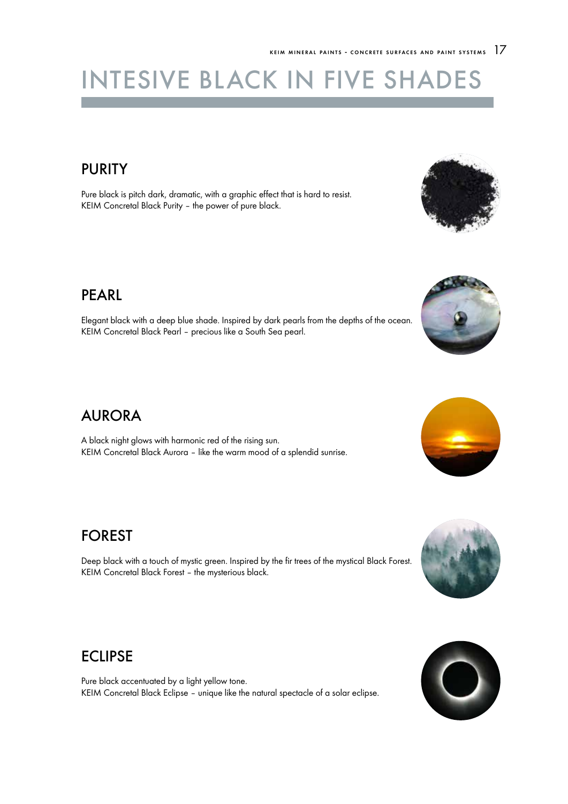# INTESIVE BLACK IN FIVE SHAD

## PURITY

Pure black is pitch dark, dramatic, with a graphic effect that is hard to resist. KEIM Concretal Black Purity – the power of pure black.

### PEARL

Elegant black with a deep blue shade. Inspired by dark pearls from the depths of the ocean. KEIM Concretal Black Pearl – precious like a South Sea pearl.

## AURORA

A black night glows with harmonic red of the rising sun. KEIM Concretal Black Aurora – like the warm mood of a splendid sunrise.

## FOREST

Deep black with a touch of mystic green. Inspired by the fir trees of the mystical Black Forest. KEIM Concretal Black Forest – the mysterious black.

## ECLIPSE

Pure black accentuated by a light yellow tone. KEIM Concretal Black Eclipse – unique like the natural spectacle of a solar eclipse.